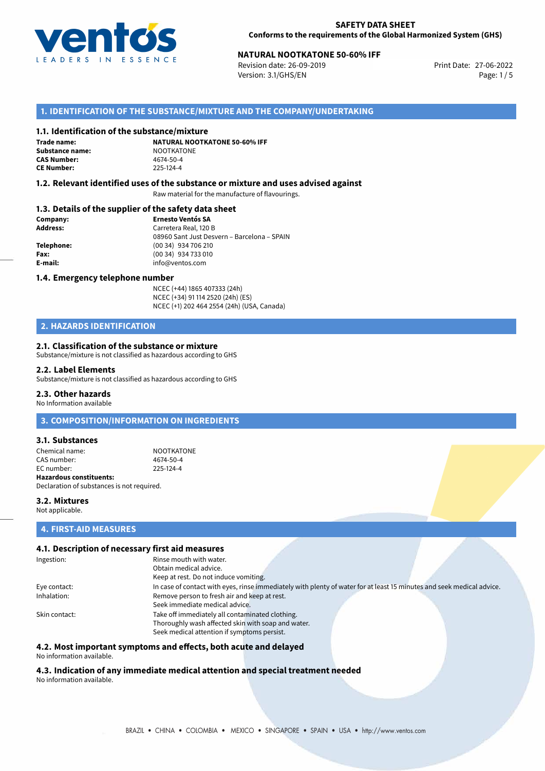

# **NATURAL NOOTKATONE 50-60% IFF**<br>
Revision date: 26-09-2019<br>
Print Date: 27-06-2022

Revision date: 26-09-2019 Version: 3.1/GHS/EN Page: 1 / 5

### **1. IDENTIFICATION OF THE SUBSTANCE/MIXTURE AND THE COMPANY/UNDERTAKING**

### **1.1. Identification of the substance/mixture**

**Trade name: Substance name:** NOOTKATONE<br> **CAS Number:** 4674-50-4 **CAS Number: CE Number:** 225-124-4

**NATURAL NOOTKATONE 50-60% IFF**

### **1.2. Relevant identified uses of the substance or mixture and uses advised against**

Raw material for the manufacture of flavourings.

# **1.3. Details of the supplier of the safety data sheet**

| Company:        | <b>Ernesto Ventós SA</b>                    |
|-----------------|---------------------------------------------|
| <b>Address:</b> | Carretera Real, 120 B                       |
|                 | 08960 Sant Just Desvern - Barcelona - SPAIN |
| Telephone:      | (00 34) 934 706 210                         |
| Fax:            | (00 34) 934 733 010                         |
| E-mail:         | info@ventos.com                             |
|                 |                                             |

#### **1.4. Emergency telephone number**

NCEC (+44) 1865 407333 (24h) NCEC (+34) 91 114 2520 (24h) (ES) NCEC (+1) 202 464 2554 (24h) (USA, Canada)

# **2. HAZARDS IDENTIFICATION**

### **2.1. Classification of the substance or mixture**

Substance/mixture is not classified as hazardous according to GHS

#### **2.2. Label Elements**

Substance/mixture is not classified as hazardous according to GHS

### **2.3. Other hazards**

No Information available

### **3. COMPOSITION/INFORMATION ON INGREDIENTS**

### **3.1. Substances**

Chemical name: NOOTKATONE CAS number: 4674-50-4<br>
FC number: 225-124-4  $FC number$ **Hazardous constituents:** Declaration of substances is not required.

### **3.2. Mixtures** Not applicable.

#### **4. FIRST-AID MEASURES**

### **4.1. Description of necessary first aid measures**

| Ingestion:    | Rinse mouth with water.                                                                                               |
|---------------|-----------------------------------------------------------------------------------------------------------------------|
|               | Obtain medical advice.                                                                                                |
|               | Keep at rest. Do not induce vomiting.                                                                                 |
| Eye contact:  | In case of contact with eyes, rinse immediately with plenty of water for at least 15 minutes and seek medical advice. |
| Inhalation:   | Remove person to fresh air and keep at rest.                                                                          |
|               | Seek immediate medical advice.                                                                                        |
| Skin contact: | Take off immediately all contaminated clothing.                                                                       |
|               | Thoroughly wash affected skin with soap and water.                                                                    |
|               | Seek medical attention if symptoms persist.                                                                           |

### **4.2. Most important symptoms and effects, both acute and delayed**

No information available.

# **4.3. Indication of any immediate medical attention and special treatment needed**

No information available.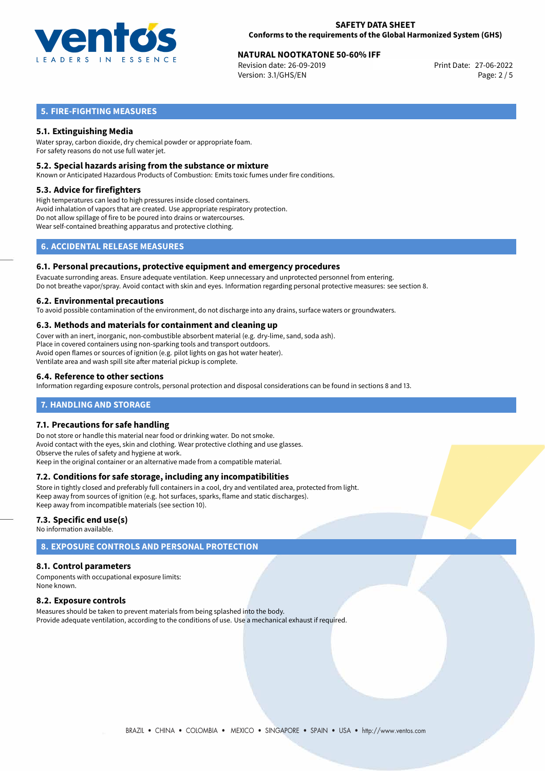

# **NATURAL NOOTKATONE 50-60% IFF**<br>
Revision date: 26-09-2019<br>
Print Date: 27-06-2022

Revision date: 26-09-2019 Version: 3.1/GHS/EN Page: 2 / 5

# **5. FIRE-FIGHTING MEASURES**

### **5.1. Extinguishing Media**

Water spray, carbon dioxide, dry chemical powder or appropriate foam. For safety reasons do not use full water jet.

### **5.2. Special hazards arising from the substance or mixture**

Known or Anticipated Hazardous Products of Combustion: Emits toxic fumes under fire conditions.

### **5.3. Advice for firefighters**

High temperatures can lead to high pressures inside closed containers. Avoid inhalation of vapors that are created. Use appropriate respiratory protection. Do not allow spillage of fire to be poured into drains or watercourses. Wear self-contained breathing apparatus and protective clothing.

# **6. ACCIDENTAL RELEASE MEASURES**

### **6.1. Personal precautions, protective equipment and emergency procedures**

Evacuate surronding areas. Ensure adequate ventilation. Keep unnecessary and unprotected personnel from entering. Do not breathe vapor/spray. Avoid contact with skin and eyes. Information regarding personal protective measures: see section 8.

### **6.2. Environmental precautions**

To avoid possible contamination of the environment, do not discharge into any drains, surface waters or groundwaters.

### **6.3. Methods and materials for containment and cleaning up**

Cover with an inert, inorganic, non-combustible absorbent material (e.g. dry-lime, sand, soda ash). Place in covered containers using non-sparking tools and transport outdoors. Avoid open flames or sources of ignition (e.g. pilot lights on gas hot water heater). Ventilate area and wash spill site after material pickup is complete.

### **6.4. Reference to other sections**

Information regarding exposure controls, personal protection and disposal considerations can be found in sections 8 and 13.

### **7. HANDLING AND STORAGE**

### **7.1. Precautions for safe handling**

Do not store or handle this material near food or drinking water. Do not smoke. Avoid contact with the eyes, skin and clothing. Wear protective clothing and use glasses. Observe the rules of safety and hygiene at work. Keep in the original container or an alternative made from a compatible material.

### **7.2. Conditions for safe storage, including any incompatibilities**

Store in tightly closed and preferably full containers in a cool, dry and ventilated area, protected from light. Keep away from sources of ignition (e.g. hot surfaces, sparks, flame and static discharges). Keep away from incompatible materials (see section 10).

### **7.3. Specific end use(s)**

No information available.

# **8. EXPOSURE CONTROLS AND PERSONAL PROTECTION**

### **8.1. Control parameters**

Components with occupational exposure limits: None known.

### **8.2. Exposure controls**

Measures should be taken to prevent materials from being splashed into the body. Provide adequate ventilation, according to the conditions of use. Use a mechanical exhaust if required.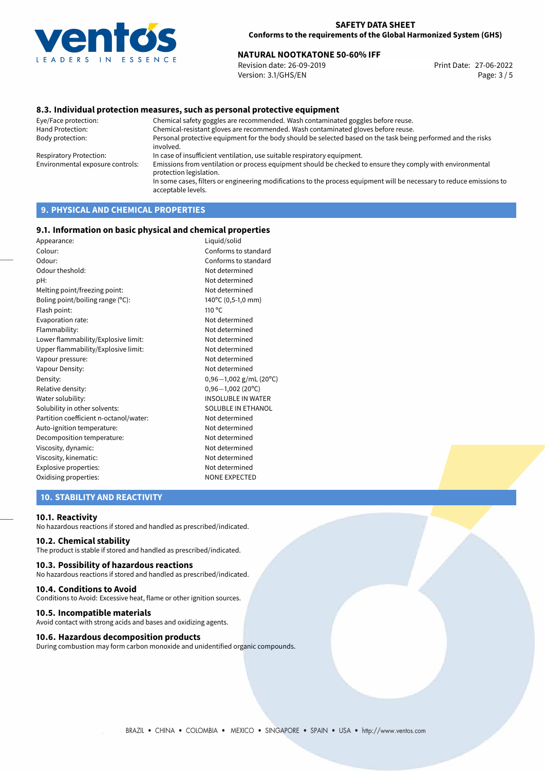

# **NATURAL NOOTKATONE 50-60% IFF**<br>Revision date: 26-09-2019<br>Print Date: 27-06-2022

Revision date: 26-09-2019 Version: 3.1/GHS/EN Page: 3 / 5

### **8.3. Individual protection measures, such as personal protective equipment**

Eye/Face protection: Chemical safety goggles are recommended. Wash contaminated goggles before reuse. Chemical-resistant gloves are recommended. Wash contaminated gloves before reuse. Body protection: Personal protective equipment for the body should be selected based on the task being performed and the risks involved. Respiratory Protection: In case of insufficient ventilation, use suitable respiratory equipment. Environmental exposure controls: Emissions from ventilation or process equipment should be checked to ensure they comply with environmental protection legislation. In some cases, filters or engineering modifications to the process equipment will be necessary to reduce emissions to acceptable levels.

# **9. PHYSICAL AND CHEMICAL PROPERTIES**

### **9.1. Information on basic physical and chemical properties**

| Appearance:                            | Liquid/solid              |
|----------------------------------------|---------------------------|
| Colour:                                | Conforms to standard      |
| Odour:                                 | Conforms to standard      |
| Odour theshold:                        | Not determined            |
| pH:                                    | Not determined            |
| Melting point/freezing point:          | Not determined            |
| Boling point/boiling range (°C):       | 140°C (0,5-1,0 mm)        |
| Flash point:                           | 110 <sup>o</sup> C        |
| Evaporation rate:                      | Not determined            |
| Flammability:                          | Not determined            |
| Lower flammability/Explosive limit:    | Not determined            |
| Upper flammability/Explosive limit:    | Not determined            |
| Vapour pressure:                       | Not determined            |
| Vapour Density:                        | Not determined            |
| Density:                               | $0,96-1,002$ g/mL (20°C)  |
| Relative density:                      | $0,96 - 1,002$ (20°C)     |
| Water solubility:                      | <b>INSOLUBLE IN WATER</b> |
| Solubility in other solvents:          | SOLUBLE IN ETHANOL        |
| Partition coefficient n-octanol/water: | Not determined            |
| Auto-ignition temperature:             | Not determined            |
| Decomposition temperature:             | Not determined            |
| Viscosity, dynamic:                    | Not determined            |
| Viscosity, kinematic:                  | Not determined            |
| Explosive properties:                  | Not determined            |
| Oxidising properties:                  | <b>NONE EXPECTED</b>      |

### **10. STABILITY AND REACTIVITY**

### **10.1. Reactivity**

No hazardous reactions if stored and handled as prescribed/indicated.

### **10.2. Chemical stability**

The product is stable if stored and handled as prescribed/indicated.

#### **10.3. Possibility of hazardous reactions**

No hazardous reactions if stored and handled as prescribed/indicated.

#### **10.4. Conditions to Avoid**

Conditions to Avoid: Excessive heat, flame or other ignition sources.

### **10.5. Incompatible materials**

Avoid contact with strong acids and bases and oxidizing agents.

### **10.6. Hazardous decomposition products**

During combustion may form carbon monoxide and unidentified organic compounds.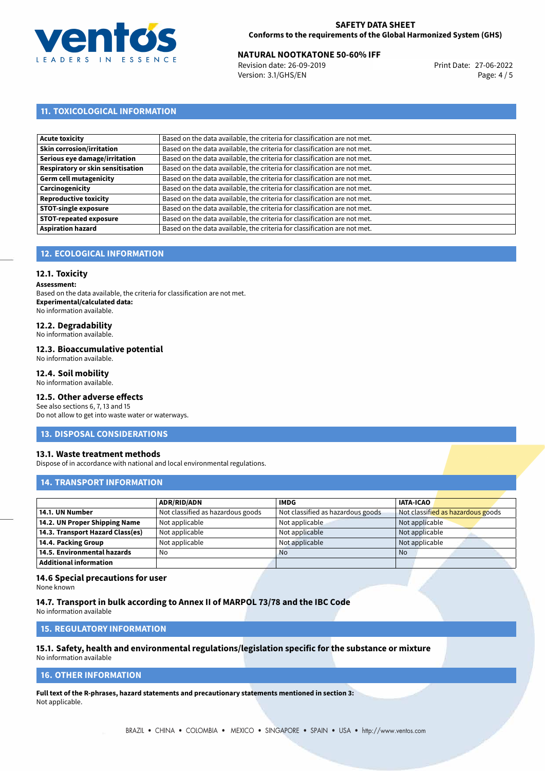

# **NATURAL NOOTKATONE 50-60% IFF**<br>Revision date: 26-09-2019<br>Print Date: 27-06-2022

Revision date: 26-09-2019 Version: 3.1/GHS/EN Page: 4 / 5

# **11. TOXICOLOGICAL INFORMATION**

| Based on the data available, the criteria for classification are not met. |
|---------------------------------------------------------------------------|
| Based on the data available, the criteria for classification are not met. |
| Based on the data available, the criteria for classification are not met. |
| Based on the data available, the criteria for classification are not met. |
| Based on the data available, the criteria for classification are not met. |
| Based on the data available, the criteria for classification are not met. |
| Based on the data available, the criteria for classification are not met. |
| Based on the data available, the criteria for classification are not met. |
| Based on the data available, the criteria for classification are not met. |
| Based on the data available, the criteria for classification are not met. |
|                                                                           |

# **12. ECOLOGICAL INFORMATION**

### **12.1. Toxicity**

**Assessment:**

Based on the data available, the criteria for classification are not met. **Experimental/calculated data:** No information available.

# **12.2. Degradability**

No information available.

### **12.3. Bioaccumulative potential**

No information available.

### **12.4. Soil mobility**

No information available.

## **12.5. Other adverse effects**

See also sections 6, 7, 13 and 15 Do not allow to get into waste water or waterways.

### **13. DISPOSAL CONSIDERATIONS**

### **13.1. Waste treatment methods**

Dispose of in accordance with national and local environmental regulations.

### **14. TRANSPORT INFORMATION**

|                                  | <b>ADR/RID/ADN</b>                | <b>IMDG</b>                       | <b>IATA-ICAO</b>                  |
|----------------------------------|-----------------------------------|-----------------------------------|-----------------------------------|
| 14.1. UN Number                  | Not classified as hazardous goods | Not classified as hazardous goods | Not classified as hazardous goods |
| 14.2. UN Proper Shipping Name    | Not applicable                    | Not applicable                    | Not applicable                    |
| 14.3. Transport Hazard Class(es) | Not applicable                    | Not applicable                    | Not applicable                    |
| 14.4. Packing Group              | Not applicable                    | Not applicable                    | Not applicable                    |
| 14.5. Environmental hazards      | No                                | <b>No</b>                         | No                                |
| <b>Additional information</b>    |                                   |                                   |                                   |

### **14.6 Special precautions for user**

None known

### **14.7. Transport in bulk according to Annex II of MARPOL 73/78 and the IBC Code**

No information available

# **15. REGULATORY INFORMATION**

# **15.1. Safety, health and environmental regulations/legislation specific for the substance or mixture**

No information available

# **16. OTHER INFORMATION**

**Full text of the R-phrases, hazard statements and precautionary statements mentioned in section 3:** Not applicable.